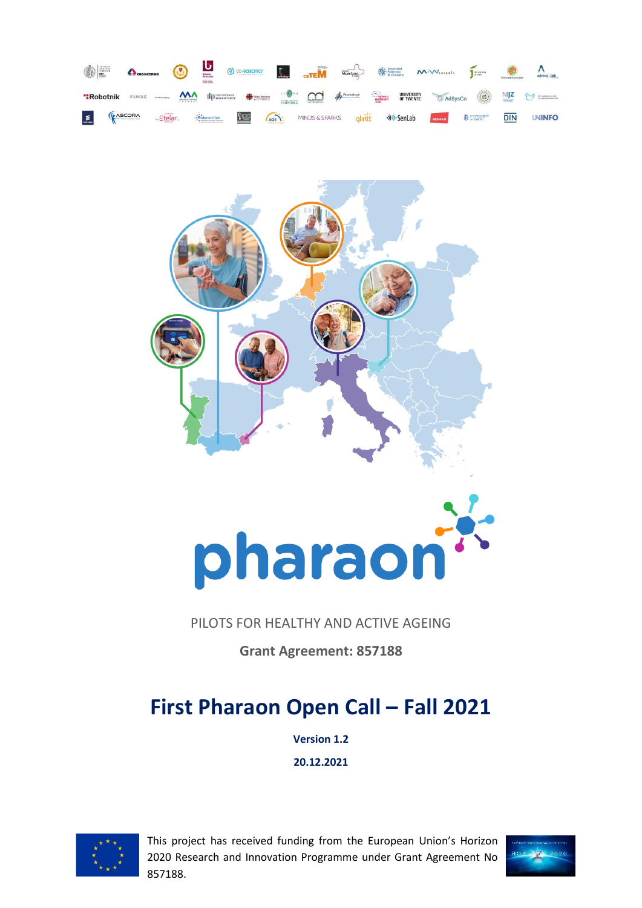



# pharaon

# PILOTS FOR HEALTHY AND ACTIVE AGEING

**Grant Agreement: 857188**

# **First Pharaon Open Call - Fall 2021**

**Version 1.2**

**20.12.2021**



This project has received funding from the European Union's Horizon 2020 Research and Innovation Programme under Grant Agreement No 857188.

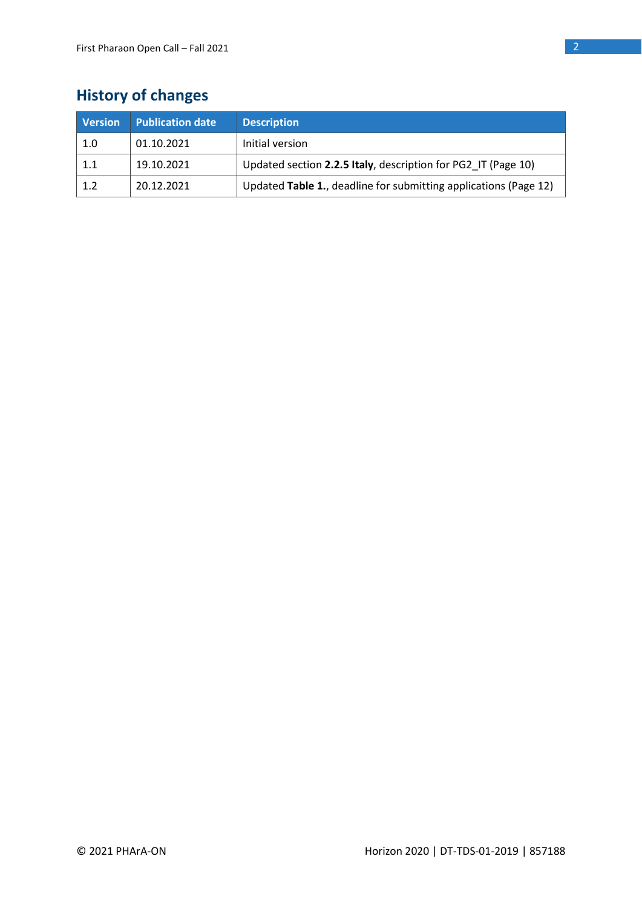# **History of changes**

| <b>Version</b> | <b>Publication date</b> | <b>Description</b>                                               |
|----------------|-------------------------|------------------------------------------------------------------|
| 1.0            | 01.10.2021              | Initial version                                                  |
| 1.1            | 19.10.2021              | Updated section 2.2.5 Italy, description for PG2 IT (Page 10)    |
| 1.2            | 20.12.2021              | Updated Table 1., deadline for submitting applications (Page 12) |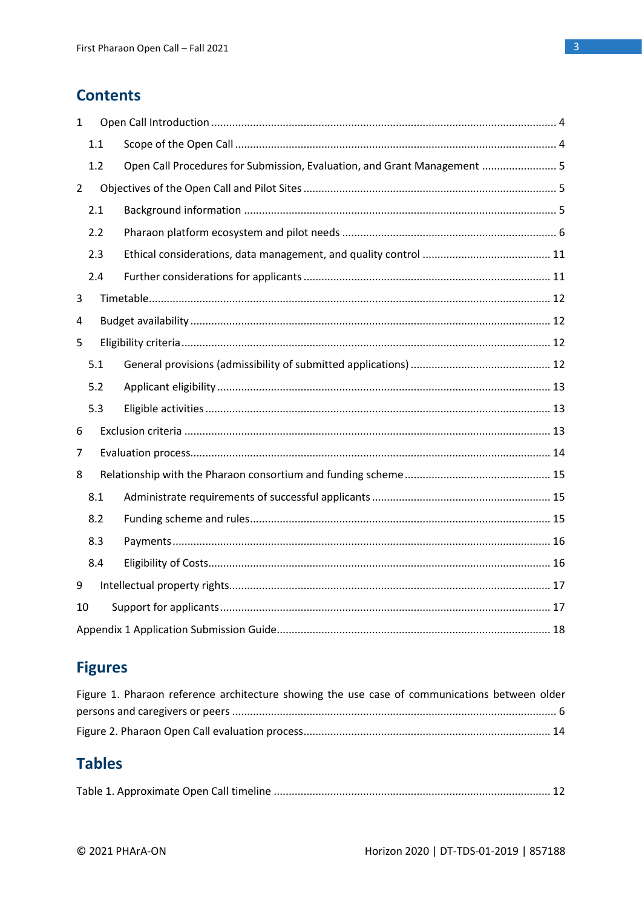# **Contents**

| $\mathbf{1}$   |     |                                                                          |  |
|----------------|-----|--------------------------------------------------------------------------|--|
|                | 1.1 |                                                                          |  |
|                | 1.2 | Open Call Procedures for Submission, Evaluation, and Grant Management  5 |  |
| $\overline{2}$ |     |                                                                          |  |
|                | 2.1 |                                                                          |  |
|                | 2.2 |                                                                          |  |
|                | 2.3 |                                                                          |  |
|                | 2.4 |                                                                          |  |
| 3              |     |                                                                          |  |
| 4              |     |                                                                          |  |
| 5              |     |                                                                          |  |
|                | 5.1 |                                                                          |  |
|                | 5.2 |                                                                          |  |
|                | 5.3 |                                                                          |  |
| 6              |     |                                                                          |  |
| 7              |     |                                                                          |  |
| 8              |     |                                                                          |  |
|                | 8.1 |                                                                          |  |
|                | 8.2 |                                                                          |  |
|                | 8.3 |                                                                          |  |
|                | 8.4 |                                                                          |  |
| 9              |     |                                                                          |  |
| 10             |     |                                                                          |  |
|                |     |                                                                          |  |

# **Figures**

| Figure 1. Pharaon reference architecture showing the use case of communications between older |  |
|-----------------------------------------------------------------------------------------------|--|
|                                                                                               |  |
|                                                                                               |  |

# **Tables**

|--|--|--|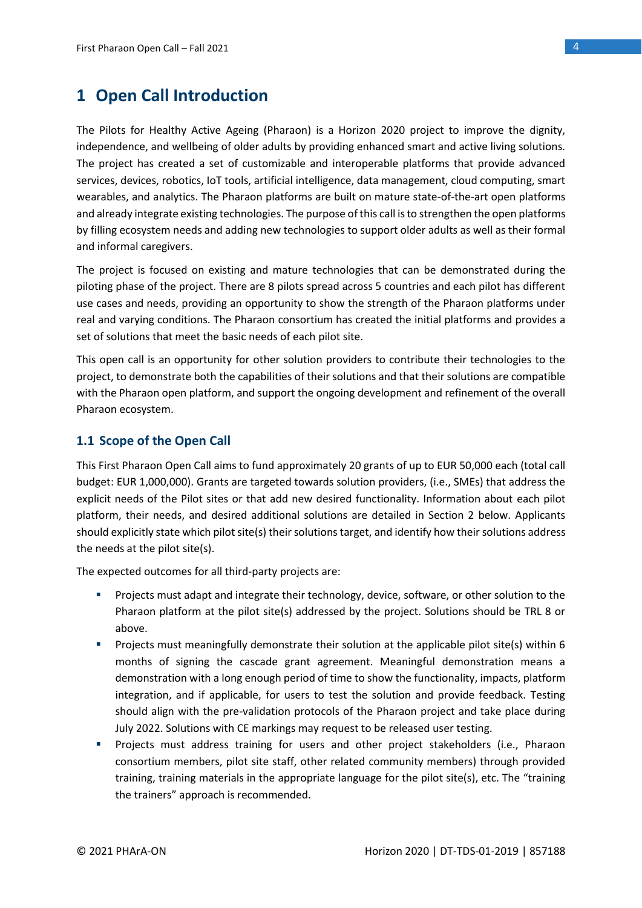# <span id="page-3-0"></span>**1 Open Call Introduction**

The Pilots for Healthy Active Ageing (Pharaon) is a Horizon 2020 project to improve the dignity, independence, and wellbeing of older adults by providing enhanced smart and active living solutions. The project has created a set of customizable and interoperable platforms that provide advanced services, devices, robotics, IoT tools, artificial intelligence, data management, cloud computing, smart wearables, and analytics. The Pharaon platforms are built on mature state-of-the-art open platforms and already integrate existing technologies. The purpose of this call is to strengthen the open platforms by filling ecosystem needs and adding new technologies to support older adults as well as their formal and informal caregivers.

The project is focused on existing and mature technologies that can be demonstrated during the piloting phase of the project. There are 8 pilots spread across 5 countries and each pilot has different use cases and needs, providing an opportunity to show the strength of the Pharaon platforms under real and varying conditions. The Pharaon consortium has created the initial platforms and provides a set of solutions that meet the basic needs of each pilot site.

This open call is an opportunity for other solution providers to contribute their technologies to the project, to demonstrate both the capabilities of their solutions and that their solutions are compatible with the Pharaon open platform, and support the ongoing development and refinement of the overall Pharaon ecosystem.

### <span id="page-3-1"></span>**1.1 Scope of the Open Call**

This First Pharaon Open Call aims to fund approximately 20 grants of up to EUR 50,000 each (total call budget: EUR 1,000,000). Grants are targeted towards solution providers, (i.e., SMEs) that address the explicit needs of the Pilot sites or that add new desired functionality. Information about each pilot platform, their needs, and desired additional solutions are detailed in Section 2 below. Applicants should explicitly state which pilot site(s) their solutions target, and identify how their solutions address the needs at the pilot site(s).

The expected outcomes for all third-party projects are:

- **•** Projects must adapt and integrate their technology, device, software, or other solution to the Pharaon platform at the pilot site(s) addressed by the project. Solutions should be TRL 8 or above.
- Projects must meaningfully demonstrate their solution at the applicable pilot site(s) within 6 months of signing the cascade grant agreement. Meaningful demonstration means a demonstration with a long enough period of time to show the functionality, impacts, platform integration, and if applicable, for users to test the solution and provide feedback. Testing should align with the pre-validation protocols of the Pharaon project and take place during July 2022. Solutions with CE markings may request to be released user testing.
- **•** Projects must address training for users and other project stakeholders (i.e., Pharaon consortium members, pilot site staff, other related community members) through provided training, training materials in the appropriate language for the pilot site(s), etc. The "training the trainers" approach is recommended.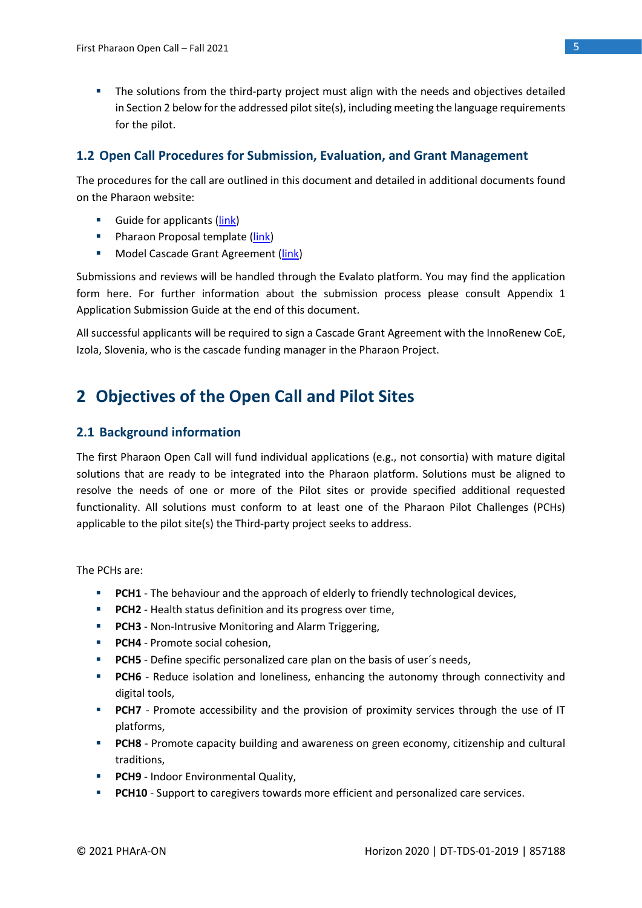**•** The solutions from the third-party project must align with the needs and objectives detailed in Section 2 below for the addressed pilot site(s), including meeting the language requirements for the pilot.

### <span id="page-4-0"></span>**1.2 Open Call Procedures for Submission, Evaluation, and Grant Management**

The procedures for the call are outlined in this document and detailed in additional documents found on the Pharaon website:

- Guide for applicants [\(link\)](https://www.pharaon.eu/wp-content/uploads/sites/36/2021/10/Pharaon_Guide_for_applicants.pdf)
- **E** Pharaon Proposal template [\(link\)](https://www.pharaon.eu/wp-content/uploads/sites/36/2021/10/Pharaon-Proposal-Template.docx)
- Model Cascade Grant Agreement [\(link\)](https://www.pharaon.eu/wp-content/uploads/sites/36/2021/10/Pharaon_Cascade_Grant_Agreement_draft.pdf)

Submissions and reviews will be handled through the Evalato platform. You may find the application form here. For further information about the submission process please consult Appendix 1 Application Submission Guide at the end of this document.

All successful applicants will be required to sign a Cascade Grant Agreement with the InnoRenew CoE, Izola, Slovenia, who is the cascade funding manager in the Pharaon Project.

# <span id="page-4-1"></span>**2 Objectives of the Open Call and Pilot Sites**

### <span id="page-4-2"></span>**2.1 Background information**

The first Pharaon Open Call will fund individual applications (e.g., not consortia) with mature digital solutions that are ready to be integrated into the Pharaon platform. Solutions must be aligned to resolve the needs of one or more of the Pilot sites or provide specified additional requested functionality. All solutions must conform to at least one of the Pharaon Pilot Challenges (PCHs) applicable to the pilot site(s) the Third-party project seeks to address.

The PCHs are:

- **PCH1** The behaviour and the approach of elderly to friendly technological devices,
- **PCH2** Health status definition and its progress over time,
- **PCH3** Non-Intrusive Monitoring and Alarm Triggering,
- **PCH4** Promote social cohesion,
- **PCH5** Define specific personalized care plan on the basis of user's needs,
- **PCH6** Reduce isolation and loneliness, enhancing the autonomy through connectivity and digital tools,
- **PCH7** Promote accessibility and the provision of proximity services through the use of IT platforms,
- **PCH8** Promote capacity building and awareness on green economy, citizenship and cultural traditions,
- **PCH9** Indoor Environmental Quality,
- **PCH10** Support to caregivers towards more efficient and personalized care services.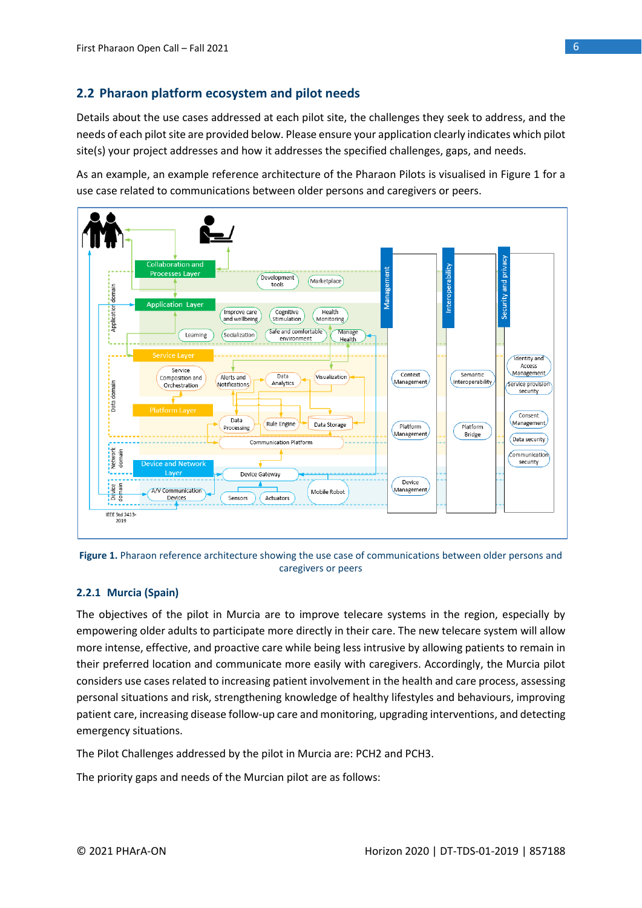# <span id="page-5-0"></span>**2.2 Pharaon platform ecosystem and pilot needs**

Details about the use cases addressed at each pilot site, the challenges they seek to address, and the needs of each pilot site are provided below. Please ensure your application clearly indicates which pilot site(s) your project addresses and how it addresses the specified challenges, gaps, and needs.

As an example, an example reference architecture of the Pharaon Pilots is visualised in Figure 1 for a use case related to communications between older persons and caregivers or peers.



<span id="page-5-1"></span>

### **2.2.1 Murcia (Spain)**

The objectives of the pilot in Murcia are to improve telecare systems in the region, especially by empowering older adults to participate more directly in their care. The new telecare system will allow more intense, effective, and proactive care while being less intrusive by allowing patients to remain in their preferred location and communicate more easily with caregivers. Accordingly, the Murcia pilot considers use cases related to increasing patient involvement in the health and care process, assessing personal situations and risk, strengthening knowledge of healthy lifestyles and behaviours, improving patient care, increasing disease follow-up care and monitoring, upgrading interventions, and detecting emergency situations.

The Pilot Challenges addressed by the pilot in Murcia are: PCH2 and PCH3.

The priority gaps and needs of the Murcian pilot are as follows: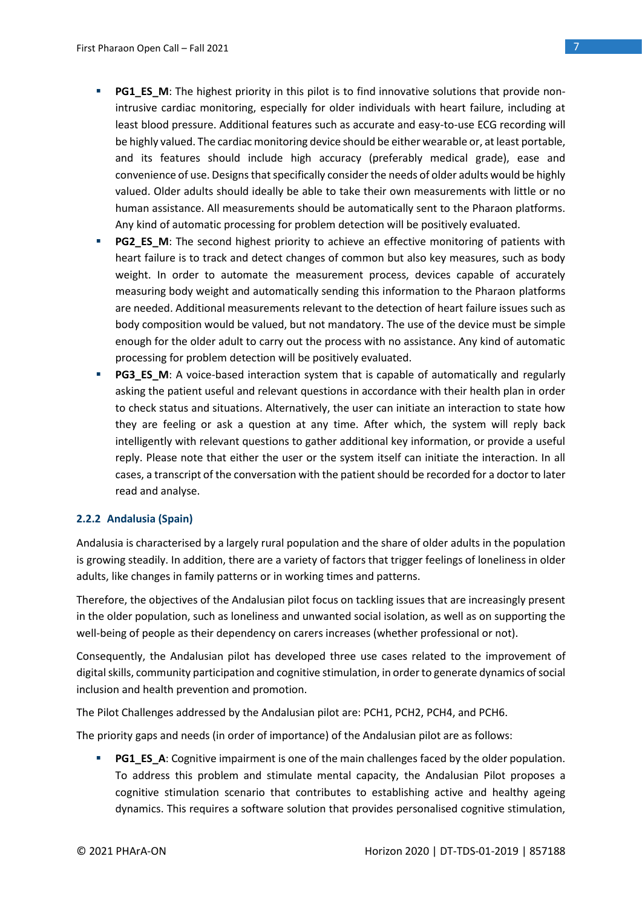- **PG1 ES M:** The highest priority in this pilot is to find innovative solutions that provide nonintrusive cardiac monitoring, especially for older individuals with heart failure, including at least blood pressure. Additional features such as accurate and easy-to-use ECG recording will be highly valued. The cardiac monitoring device should be either wearable or, at least portable, and its features should include high accuracy (preferably medical grade), ease and convenience of use. Designs that specifically consider the needs of older adults would be highly valued. Older adults should ideally be able to take their own measurements with little or no human assistance. All measurements should be automatically sent to the Pharaon platforms. Any kind of automatic processing for problem detection will be positively evaluated.
- **PG2 ES M**: The second highest priority to achieve an effective monitoring of patients with heart failure is to track and detect changes of common but also key measures, such as body weight. In order to automate the measurement process, devices capable of accurately measuring body weight and automatically sending this information to the Pharaon platforms are needed. Additional measurements relevant to the detection of heart failure issues such as body composition would be valued, but not mandatory. The use of the device must be simple enough for the older adult to carry out the process with no assistance. Any kind of automatic processing for problem detection will be positively evaluated.
- **PG3\_ES\_M:** A voice-based interaction system that is capable of automatically and regularly asking the patient useful and relevant questions in accordance with their health plan in order to check status and situations. Alternatively, the user can initiate an interaction to state how they are feeling or ask a question at any time. After which, the system will reply back intelligently with relevant questions to gather additional key information, or provide a useful reply. Please note that either the user or the system itself can initiate the interaction. In all cases, a transcript of the conversation with the patient should be recorded for a doctor to later read and analyse.

### **2.2.2 Andalusia (Spain)**

Andalusia is characterised by a largely rural population and the share of older adults in the population is growing steadily. In addition, there are a variety of factors that trigger feelings of loneliness in older adults, like changes in family patterns or in working times and patterns.

Therefore, the objectives of the Andalusian pilot focus on tackling issues that are increasingly present in the older population, such as loneliness and unwanted social isolation, as well as on supporting the well-being of people as their dependency on carers increases (whether professional or not).

Consequently, the Andalusian pilot has developed three use cases related to the improvement of digital skills, community participation and cognitive stimulation, in order to generate dynamics of social inclusion and health prevention and promotion.

The Pilot Challenges addressed by the Andalusian pilot are: PCH1, PCH2, PCH4, and PCH6.

The priority gaps and needs (in order of importance) of the Andalusian pilot are as follows:

**• PG1\_ES\_A**: Cognitive impairment is one of the main challenges faced by the older population. To address this problem and stimulate mental capacity, the Andalusian Pilot proposes a cognitive stimulation scenario that contributes to establishing active and healthy ageing dynamics. This requires a software solution that provides personalised cognitive stimulation,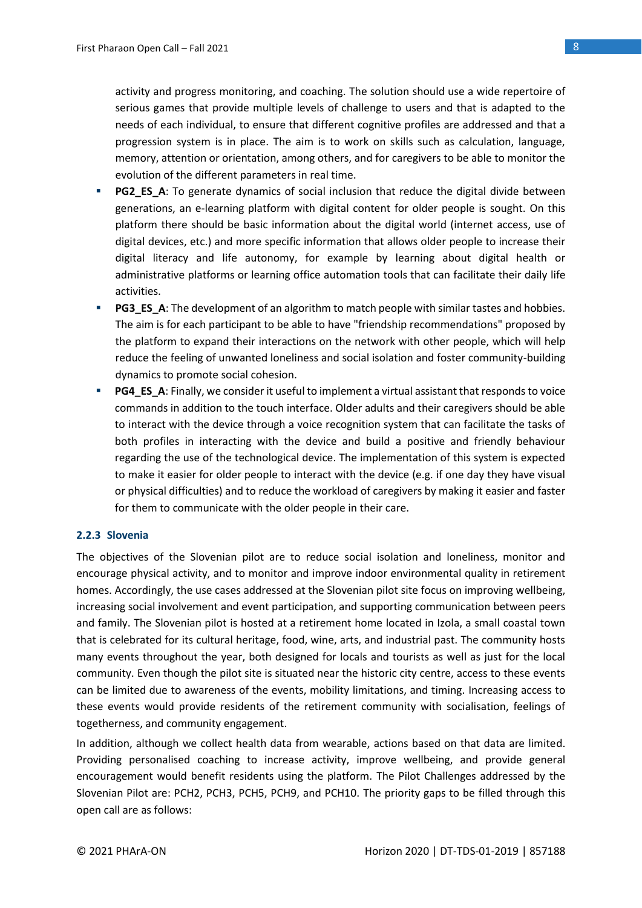activity and progress monitoring, and coaching. The solution should use a wide repertoire of serious games that provide multiple levels of challenge to users and that is adapted to the needs of each individual, to ensure that different cognitive profiles are addressed and that a progression system is in place. The aim is to work on skills such as calculation, language, memory, attention or orientation, among others, and for caregivers to be able to monitor the evolution of the different parameters in real time.

- **PG2\_ES\_A**: To generate dynamics of social inclusion that reduce the digital divide between generations, an e-learning platform with digital content for older people is sought. On this platform there should be basic information about the digital world (internet access, use of digital devices, etc.) and more specific information that allows older people to increase their digital literacy and life autonomy, for example by learning about digital health or administrative platforms or learning office automation tools that can facilitate their daily life activities.
- **PG3\_ES\_A**: The development of an algorithm to match people with similar tastes and hobbies. The aim is for each participant to be able to have "friendship recommendations" proposed by the platform to expand their interactions on the network with other people, which will help reduce the feeling of unwanted loneliness and social isolation and foster community-building dynamics to promote social cohesion.
- **PG4\_ES\_A**: Finally, we consider it useful to implement a virtual assistant that responds to voice commands in addition to the touch interface. Older adults and their caregivers should be able to interact with the device through a voice recognition system that can facilitate the tasks of both profiles in interacting with the device and build a positive and friendly behaviour regarding the use of the technological device. The implementation of this system is expected to make it easier for older people to interact with the device (e.g. if one day they have visual or physical difficulties) and to reduce the workload of caregivers by making it easier and faster for them to communicate with the older people in their care.

### **2.2.3 Slovenia**

The objectives of the Slovenian pilot are to reduce social isolation and loneliness, monitor and encourage physical activity, and to monitor and improve indoor environmental quality in retirement homes. Accordingly, the use cases addressed at the Slovenian pilot site focus on improving wellbeing, increasing social involvement and event participation, and supporting communication between peers and family. The Slovenian pilot is hosted at a retirement home located in Izola, a small coastal town that is celebrated for its cultural heritage, food, wine, arts, and industrial past. The community hosts many events throughout the year, both designed for locals and tourists as well as just for the local community. Even though the pilot site is situated near the historic city centre, access to these events can be limited due to awareness of the events, mobility limitations, and timing. Increasing access to these events would provide residents of the retirement community with socialisation, feelings of togetherness, and community engagement.

In addition, although we collect health data from wearable, actions based on that data are limited. Providing personalised coaching to increase activity, improve wellbeing, and provide general encouragement would benefit residents using the platform. The Pilot Challenges addressed by the Slovenian Pilot are: PCH2, PCH3, PCH5, PCH9, and PCH10. The priority gaps to be filled through this open call are as follows: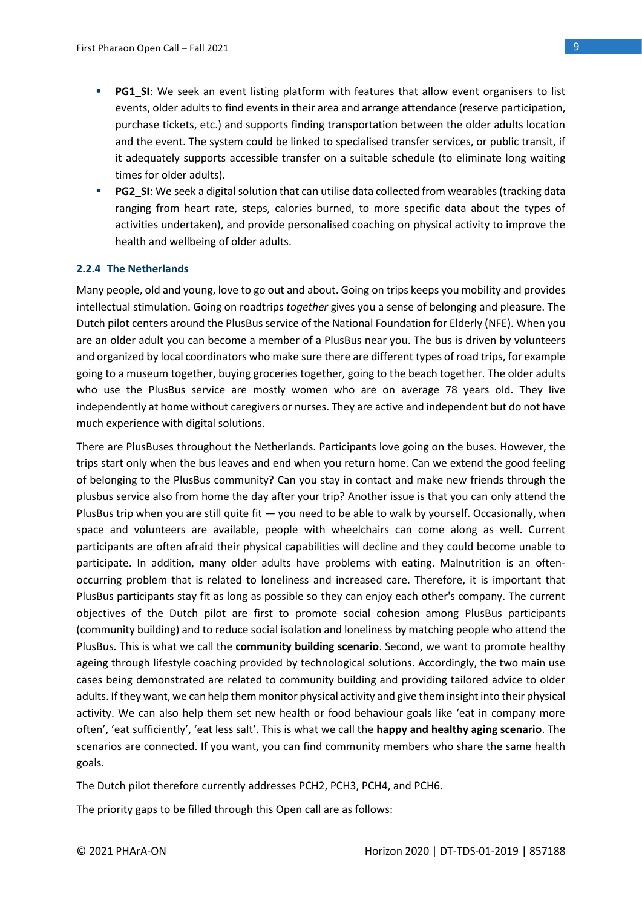- **PG1\_SI:** We seek an event listing platform with features that allow event organisers to list events, older adults to find events in their area and arrange attendance (reserve participation, purchase tickets, etc.) and supports finding transportation between the older adults location and the event. The system could be linked to specialised transfer services, or public transit, if it adequately supports accessible transfer on a suitable schedule (to eliminate long waiting times for older adults).
- **PG2\_SI:** We seek a digital solution that can utilise data collected from wearables (tracking data ranging from heart rate, steps, calories burned, to more specific data about the types of activities undertaken), and provide personalised coaching on physical activity to improve the health and wellbeing of older adults.

### **2.2.4 The Netherlands**

Many people, old and young, love to go out and about. Going on trips keeps you mobility and provides intellectual stimulation. Going on roadtrips *together* gives you a sense of belonging and pleasure. The Dutch pilot centers around the PlusBus service of the National Foundation for Elderly (NFE). When you are an older adult you can become a member of a PlusBus near you. The bus is driven by volunteers and organized by local coordinators who make sure there are different types of road trips, for example going to a museum together, buying groceries together, going to the beach together. The older adults who use the PlusBus service are mostly women who are on average 78 years old. They live independently at home without caregivers or nurses. They are active and independent but do not have much experience with digital solutions.

There are PlusBuses throughout the Netherlands. Participants love going on the buses. However, the trips start only when the bus leaves and end when you return home. Can we extend the good feeling of belonging to the PlusBus community? Can you stay in contact and make new friends through the plusbus service also from home the day after your trip? Another issue is that you can only attend the PlusBus trip when you are still quite fit — you need to be able to walk by yourself. Occasionally, when space and volunteers are available, people with wheelchairs can come along as well. Current participants are often afraid their physical capabilities will decline and they could become unable to participate. In addition, many older adults have problems with eating. Malnutrition is an oftenoccurring problem that is related to loneliness and increased care. Therefore, it is important that PlusBus participants stay fit as long as possible so they can enjoy each other's company. The current objectives of the Dutch pilot are first to promote social cohesion among PlusBus participants (community building) and to reduce social isolation and loneliness by matching people who attend the PlusBus. This is what we call the **community building scenario**. Second, we want to promote healthy ageing through lifestyle coaching provided by technological solutions. Accordingly, the two main use cases being demonstrated are related to community building and providing tailored advice to older adults. If they want, we can help them monitor physical activity and give them insight into their physical activity. We can also help them set new health or food behaviour goals like 'eat in company more often', 'eat sufficiently', 'eat less salt'. This is what we call the **happy and healthy aging scenario**. The scenarios are connected. If you want, you can find community members who share the same health goals.

The Dutch pilot therefore currently addresses PCH2, PCH3, PCH4, and PCH6.

The priority gaps to be filled through this Open call are as follows: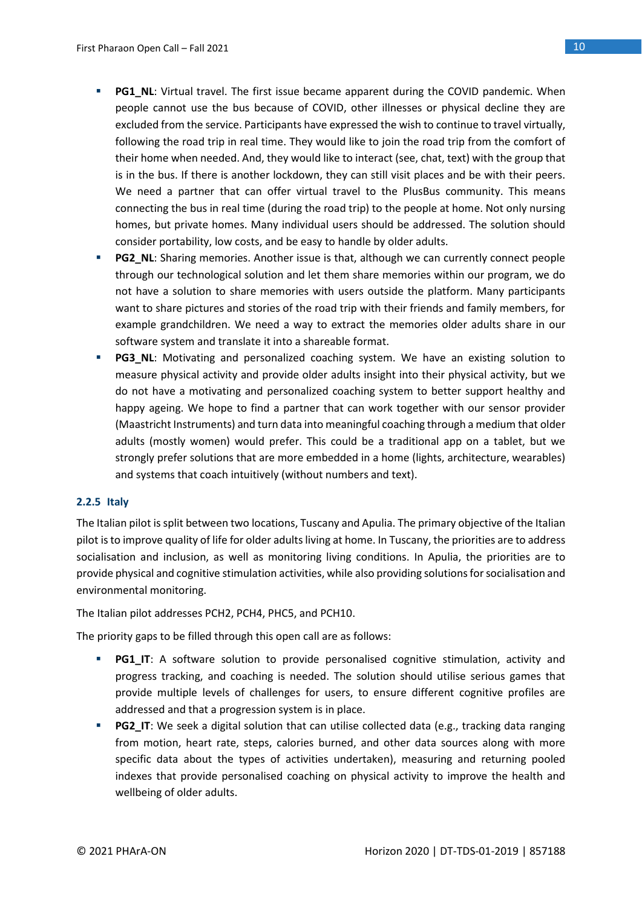- **PG1 NL:** Virtual travel. The first issue became apparent during the COVID pandemic. When people cannot use the bus because of COVID, other illnesses or physical decline they are excluded from the service. Participants have expressed the wish to continue to travel virtually, following the road trip in real time. They would like to join the road trip from the comfort of their home when needed. And, they would like to interact (see, chat, text) with the group that is in the bus. If there is another lockdown, they can still visit places and be with their peers. We need a partner that can offer virtual travel to the PlusBus community. This means connecting the bus in real time (during the road trip) to the people at home. Not only nursing homes, but private homes. Many individual users should be addressed. The solution should consider portability, low costs, and be easy to handle by older adults.
- **PG2\_NL:** Sharing memories. Another issue is that, although we can currently connect people through our technological solution and let them share memories within our program, we do not have a solution to share memories with users outside the platform. Many participants want to share pictures and stories of the road trip with their friends and family members, for example grandchildren. We need a way to extract the memories older adults share in our software system and translate it into a shareable format.
- **PG3\_NL**: Motivating and personalized coaching system. We have an existing solution to measure physical activity and provide older adults insight into their physical activity, but we do not have a motivating and personalized coaching system to better support healthy and happy ageing. We hope to find a partner that can work together with our sensor provider (Maastricht Instruments) and turn data into meaningful coaching through a medium that older adults (mostly women) would prefer. This could be a traditional app on a tablet, but we strongly prefer solutions that are more embedded in a home (lights, architecture, wearables) and systems that coach intuitively (without numbers and text).

### **2.2.5 Italy**

The Italian pilot is split between two locations, Tuscany and Apulia. The primary objective of the Italian pilot is to improve quality of life for older adults living at home. In Tuscany, the priorities are to address socialisation and inclusion, as well as monitoring living conditions. In Apulia, the priorities are to provide physical and cognitive stimulation activities, while also providing solutions for socialisation and environmental monitoring.

The Italian pilot addresses PCH2, PCH4, PHC5, and PCH10.

The priority gaps to be filled through this open call are as follows:

- **PG1 IT:** A software solution to provide personalised cognitive stimulation, activity and progress tracking, and coaching is needed. The solution should utilise serious games that provide multiple levels of challenges for users, to ensure different cognitive profiles are addressed and that a progression system is in place.
- **PG2 IT:** We seek a digital solution that can utilise collected data (e.g., tracking data ranging from motion, heart rate, steps, calories burned, and other data sources along with more specific data about the types of activities undertaken), measuring and returning pooled indexes that provide personalised coaching on physical activity to improve the health and wellbeing of older adults.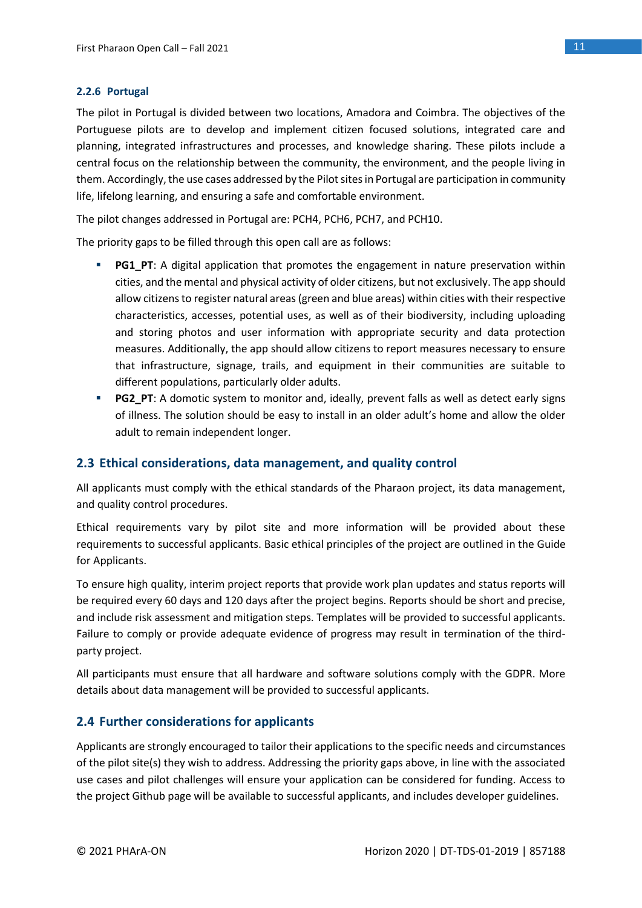### **2.2.6 Portugal**

The pilot in Portugal is divided between two locations, Amadora and Coimbra. The objectives of the Portuguese pilots are to develop and implement citizen focused solutions, integrated care and planning, integrated infrastructures and processes, and knowledge sharing. These pilots include a central focus on the relationship between the community, the environment, and the people living in them. Accordingly, the use cases addressed by the Pilot sites in Portugal are participation in community life, lifelong learning, and ensuring a safe and comfortable environment.

The pilot changes addressed in Portugal are: PCH4, PCH6, PCH7, and PCH10.

The priority gaps to be filled through this open call are as follows:

- **PG1\_PT**: A digital application that promotes the engagement in nature preservation within cities, and the mental and physical activity of older citizens, but not exclusively. The app should allow citizens to register natural areas (green and blue areas) within cities with their respective characteristics, accesses, potential uses, as well as of their biodiversity, including uploading and storing photos and user information with appropriate security and data protection measures. Additionally, the app should allow citizens to report measures necessary to ensure that infrastructure, signage, trails, and equipment in their communities are suitable to different populations, particularly older adults.
- **PG2 PT**: A domotic system to monitor and, ideally, prevent falls as well as detect early signs of illness. The solution should be easy to install in an older adult's home and allow the older adult to remain independent longer.

### <span id="page-10-0"></span>**2.3 Ethical considerations, data management, and quality control**

All applicants must comply with the ethical standards of the Pharaon project, its data management, and quality control procedures.

Ethical requirements vary by pilot site and more information will be provided about these requirements to successful applicants. Basic ethical principles of the project are outlined in the Guide for Applicants.

To ensure high quality, interim project reports that provide work plan updates and status reports will be required every 60 days and 120 days after the project begins. Reports should be short and precise, and include risk assessment and mitigation steps. Templates will be provided to successful applicants. Failure to comply or provide adequate evidence of progress may result in termination of the thirdparty project.

All participants must ensure that all hardware and software solutions comply with the GDPR. More details about data management will be provided to successful applicants.

### <span id="page-10-1"></span>**2.4 Further considerations for applicants**

Applicants are strongly encouraged to tailor their applications to the specific needs and circumstances of the pilot site(s) they wish to address. Addressing the priority gaps above, in line with the associated use cases and pilot challenges will ensure your application can be considered for funding. Access to the project Github page will be available to successful applicants, and includes developer guidelines.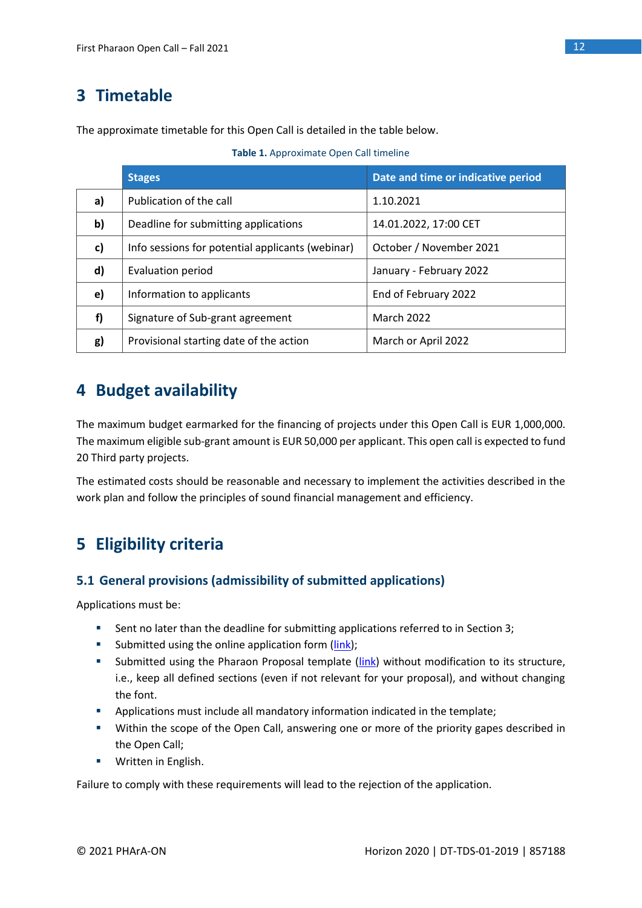# <span id="page-11-0"></span>**3 Timetable**

The approximate timetable for this Open Call is detailed in the table below.

<span id="page-11-4"></span>

|    | <b>Stages</b>                                    | Date and time or indicative period |
|----|--------------------------------------------------|------------------------------------|
| a) | Publication of the call                          | 1.10.2021                          |
| b) | Deadline for submitting applications             | 14.01.2022, 17:00 CET              |
| c) | Info sessions for potential applicants (webinar) | October / November 2021            |
| d) | Evaluation period                                | January - February 2022            |
| e) | Information to applicants                        | End of February 2022               |
| f) | Signature of Sub-grant agreement                 | <b>March 2022</b>                  |
| g) | Provisional starting date of the action          | March or April 2022                |

# <span id="page-11-1"></span>**4 Budget availability**

The maximum budget earmarked for the financing of projects under this Open Call is EUR 1,000,000. The maximum eligible sub-grant amount is EUR 50,000 per applicant. This open call is expected to fund 20 Third party projects.

The estimated costs should be reasonable and necessary to implement the activities described in the work plan and follow the principles of sound financial management and efficiency.

# <span id="page-11-2"></span>**5 Eligibility criteria**

# <span id="page-11-3"></span>**5.1 General provisions (admissibility of submitted applications)**

Applications must be:

- Sent no later than the deadline for submitting applications referred to in Section 3;
- Submitted using the online application form [\(link\)](https://pro.evalato.com/3679);
- **EXECUTE:** Submitted using the Pharaon Proposal template [\(link\)](https://www.pharaon.eu/wp-content/uploads/sites/36/2021/10/Pharaon-Proposal-Template.docx) without modification to its structure, i.e., keep all defined sections (even if not relevant for your proposal), and without changing the font.
- **EXEDENT** Applications must include all mandatory information indicated in the template;
- Within the scope of the Open Call, answering one or more of the priority gapes described in the Open Call;
- Written in English.

Failure to comply with these requirements will lead to the rejection of the application.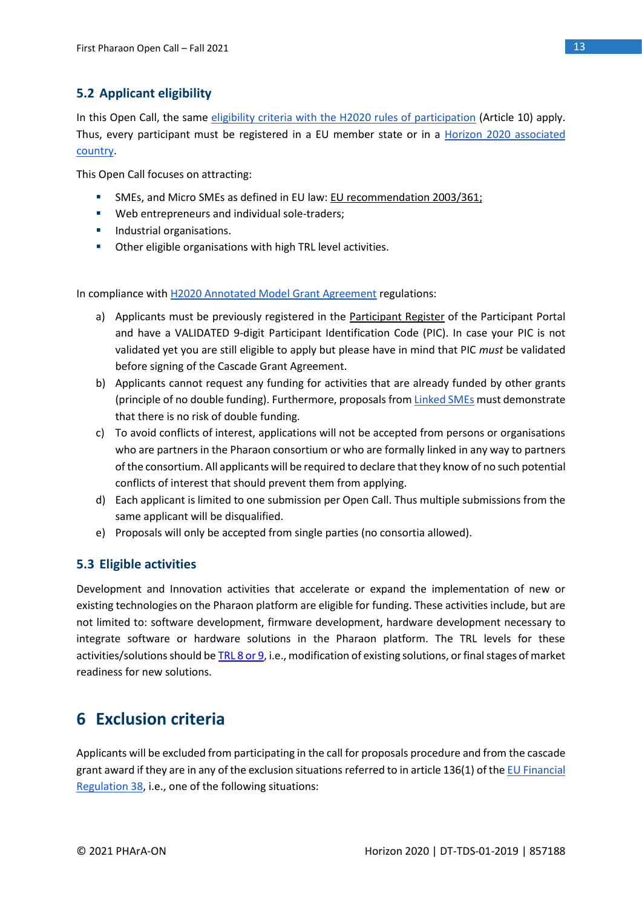# <span id="page-12-0"></span>**5.2 Applicant eligibility**

In this Open Call, the same [eligibility criteria with the H2020 rules of participation](https://ec.europa.eu/research/participants/data/ref/h2020/legal_basis/rules_participation/h2020-rules-participation_en.pdf) (Article 10) apply. Thus, every participant must be registered in a EU member state or in a **Horizon 2020** associated [country.](https://ec.europa.eu/research/participants/data/ref/h2020/other/wp/2018-2020/annexes/h2020-wp1820-annex-a-countries-rules_en.pdf)

This Open Call focuses on attracting:

- SMEs, and Micro SMEs as defined in EU law: [EU recommendation 2003/361;](https://eur-lex.europa.eu/LexUriServ/LexUriServ.do?uri=OJ:L:2003:124:0036:0041:EN:PDF)
- Web entrepreneurs and individual sole-traders;
- **■** Industrial organisations.
- Other eligible organisations with high TRL level activities.

In compliance with [H2020 Annotated Model Grant Agreement](https://ec.europa.eu/research/participants/data/ref/h2020/grants_manual/amga/h2020-amga_en.pdf) regulations:

- a) Applicants must be previously registered in the [Participant Register](https://ec.europa.eu/info/funding-tenders/opportunities/portal/screen/how-to-participate/participant-register) of the Participant Portal and have a VALIDATED 9-digit Participant Identification Code (PIC). In case your PIC is not validated yet you are still eligible to apply but please have in mind that PIC *must* be validated before signing of the Cascade Grant Agreement.
- b) Applicants cannot request any funding for activities that are already funded by other grants (principle of no double funding). Furthermore, proposals fro[m Linked SMEs](https://op.europa.eu/en/publication-detail/-/publication/756d9260-ee54-11ea-991b-01aa75ed71a1) must demonstrate that there is no risk of double funding.
- c) To avoid conflicts of interest, applications will not be accepted from persons or organisations who are partners in the Pharaon consortium or who are formally linked in any way to partners of the consortium. All applicants will be required to declare that they know of no such potential conflicts of interest that should prevent them from applying.
- d) Each applicant is limited to one submission per Open Call. Thus multiple submissions from the same applicant will be disqualified.
- e) Proposals will only be accepted from single parties (no consortia allowed).

### <span id="page-12-1"></span>**5.3 Eligible activities**

Development and Innovation activities that accelerate or expand the implementation of new or existing technologies on the Pharaon platform are eligible for funding. These activities include, but are not limited to: software development, firmware development, hardware development necessary to integrate software or hardware solutions in the Pharaon platform. The TRL levels for these activities/solutions should b[e TRL 8 or 9,](https://ec.europa.eu/research/participants/data/ref/h2020/wp/2014_2015/annexes/h2020-wp1415-annex-g-trl_en.pdf) i.e., modification of existing solutions, or final stages of market readiness for new solutions.

# <span id="page-12-2"></span>**6 Exclusion criteria**

Applicants will be excluded from participating in the call for proposals procedure and from the cascade grant award if they are in any of the exclusion situations referred to in article 136(1) of the EU Financial [Regulation 38,](https://eur-lex.europa.eu/legal-content/EN/TXT/PDF/?uri=CELEX:32018R1046&from=EN) i.e., one of the following situations: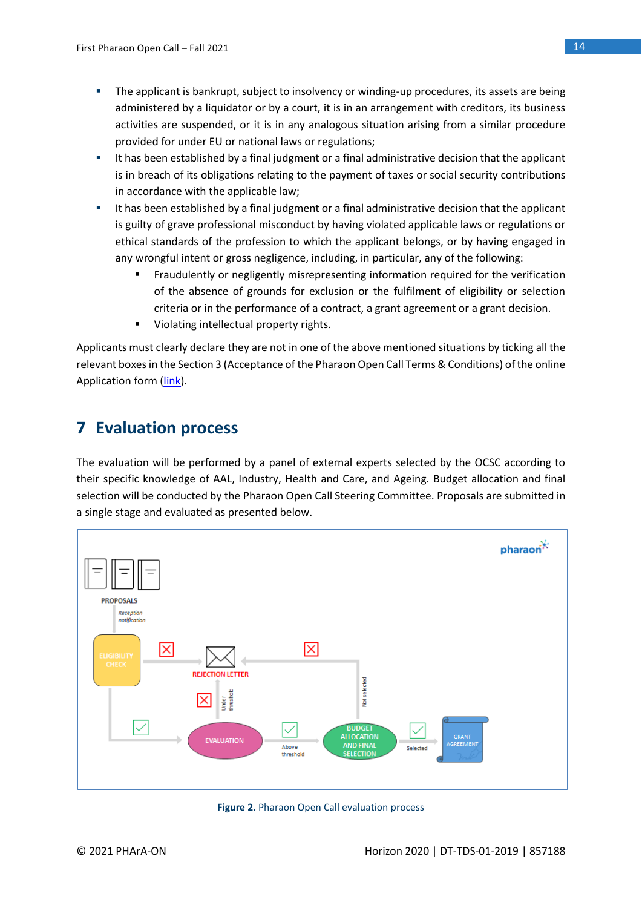- **•** The applicant is bankrupt, subject to insolvency or winding-up procedures, its assets are being administered by a liquidator or by a court, it is in an arrangement with creditors, its business activities are suspended, or it is in any analogous situation arising from a similar procedure provided for under EU or national laws or regulations;
- It has been established by a final judgment or a final administrative decision that the applicant is in breach of its obligations relating to the payment of taxes or social security contributions in accordance with the applicable law;
- **■** It has been established by a final judgment or a final administrative decision that the applicant is guilty of grave professional misconduct by having violated applicable laws or regulations or ethical standards of the profession to which the applicant belongs, or by having engaged in any wrongful intent or gross negligence, including, in particular, any of the following:
	- Fraudulently or negligently misrepresenting information required for the verification of the absence of grounds for exclusion or the fulfilment of eligibility or selection criteria or in the performance of a contract, a grant agreement or a grant decision.
	- Violating intellectual property rights.

Applicants must clearly declare they are not in one of the above mentioned situations by ticking all the relevant boxes in the Section 3 (Acceptance of the Pharaon Open Call Terms & Conditions) of the online Application form [\(link\)](https://pro.evalato.com/3679).

# <span id="page-13-0"></span>**7 Evaluation process**

The evaluation will be performed by a panel of external experts selected by the OCSC according to their specific knowledge of AAL, Industry, Health and Care, and Ageing. Budget allocation and final selection will be conducted by the Pharaon Open Call Steering Committee. Proposals are submitted in a single stage and evaluated as presented below.



<span id="page-13-1"></span>**Figure 2.** Pharaon Open Call evaluation process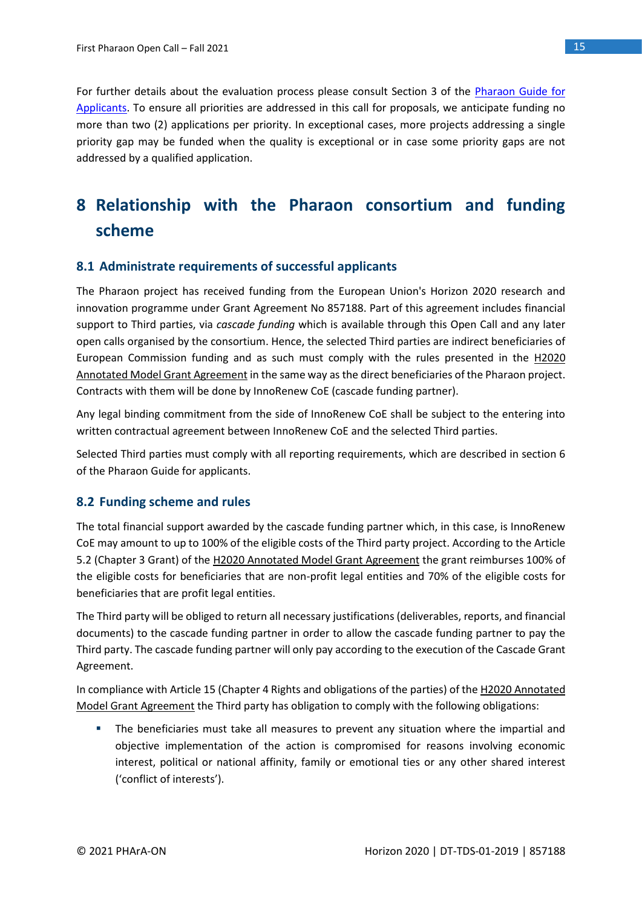For further details about the evaluation process please consult Section 3 of the [Pharaon Guide for](https://www.pharaon.eu/wp-content/uploads/sites/36/2021/10/Pharaon_Guide_for_applicants.pdf)  [Applicants.](https://www.pharaon.eu/wp-content/uploads/sites/36/2021/10/Pharaon_Guide_for_applicants.pdf) To ensure all priorities are addressed in this call for proposals, we anticipate funding no more than two (2) applications per priority. In exceptional cases, more projects addressing a single priority gap may be funded when the quality is exceptional or in case some priority gaps are not addressed by a qualified application.

# <span id="page-14-0"></span>**8 Relationship with the Pharaon consortium and funding scheme**

### <span id="page-14-1"></span>**8.1 Administrate requirements of successful applicants**

The Pharaon project has received funding from the European Union's Horizon 2020 research and innovation programme under Grant Agreement No 857188. Part of this agreement includes financial support to Third parties, via *cascade funding* which is available through this Open Call and any later open calls organised by the consortium. Hence, the selected Third parties are indirect beneficiaries of European Commission funding and as such must comply with the rules presented in the [H2020](https://ec.europa.eu/research/participants/data/ref/h2020/grants_manual/amga/h2020-amga_en.pdf)  [Annotated Model Grant Agreement](https://ec.europa.eu/research/participants/data/ref/h2020/grants_manual/amga/h2020-amga_en.pdf) in the same way as the direct beneficiaries of the Pharaon project. Contracts with them will be done by InnoRenew CoE (cascade funding partner).

Any legal binding commitment from the side of InnoRenew CoE shall be subject to the entering into written contractual agreement between InnoRenew CoE and the selected Third parties.

Selected Third parties must comply with all reporting requirements, which are described in section 6 of the Pharaon Guide for applicants.

### <span id="page-14-2"></span>**8.2 Funding scheme and rules**

The total financial support awarded by the cascade funding partner which, in this case, is InnoRenew CoE may amount to up to 100% of the eligible costs of the Third party project. According to the Article 5.2 (Chapter 3 Grant) of th[e H2020 Annotated Model Grant Agreement](https://ec.europa.eu/research/participants/data/ref/h2020/grants_manual/amga/h2020-amga_en.pdf) the grant reimburses 100% of the eligible costs for beneficiaries that are non-profit legal entities and 70% of the eligible costs for beneficiaries that are profit legal entities.

The Third party will be obliged to return all necessary justifications (deliverables, reports, and financial documents) to the cascade funding partner in order to allow the cascade funding partner to pay the Third party. The cascade funding partner will only pay according to the execution of the Cascade Grant Agreement.

In compliance with Article 15 (Chapter 4 Rights and obligations of the parties) of th[e H2020 Annotated](https://ec.europa.eu/research/participants/data/ref/h2020/grants_manual/amga/h2020-amga_en.pdf)  [Model Grant Agreement](https://ec.europa.eu/research/participants/data/ref/h2020/grants_manual/amga/h2020-amga_en.pdf) the Third party has obligation to comply with the following obligations:

**•** The beneficiaries must take all measures to prevent any situation where the impartial and objective implementation of the action is compromised for reasons involving economic interest, political or national affinity, family or emotional ties or any other shared interest ('conflict of interests').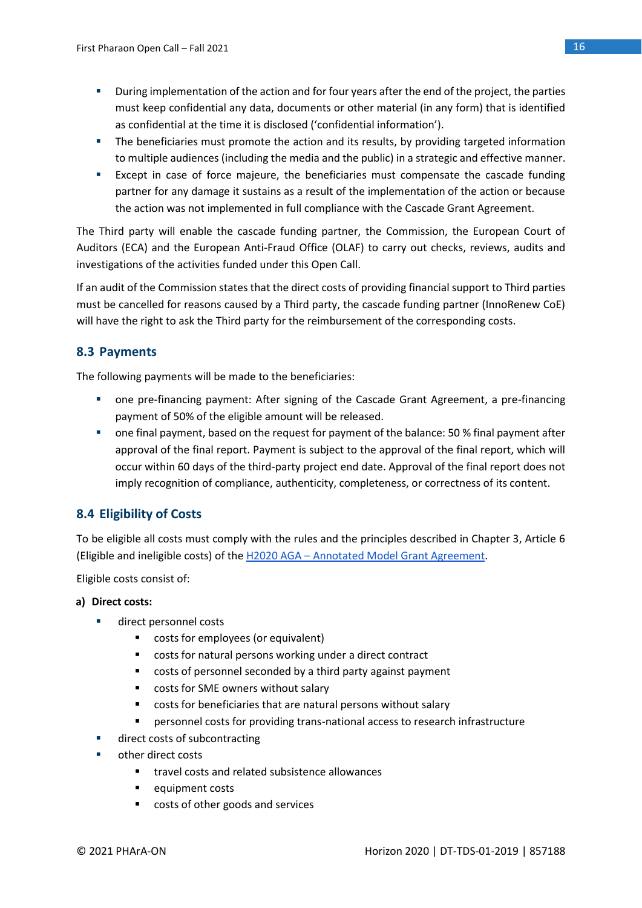- **■** During implementation of the action and for four years after the end of the project, the parties must keep confidential any data, documents or other material (in any form) that is identified as confidential at the time it is disclosed ('confidential information').
- **•** The beneficiaries must promote the action and its results, by providing targeted information to multiple audiences (including the media and the public) in a strategic and effective manner.
- Except in case of force majeure, the beneficiaries must compensate the cascade funding partner for any damage it sustains as a result of the implementation of the action or because the action was not implemented in full compliance with the Cascade Grant Agreement.

The Third party will enable the cascade funding partner, the Commission, the European Court of Auditors (ECA) and the European Anti-Fraud Office (OLAF) to carry out checks, reviews, audits and investigations of the activities funded under this Open Call.

If an audit of the Commission states that the direct costs of providing financial support to Third parties must be cancelled for reasons caused by a Third party, the cascade funding partner (InnoRenew CoE) will have the right to ask the Third party for the reimbursement of the corresponding costs.

# <span id="page-15-0"></span>**8.3 Payments**

The following payments will be made to the beneficiaries:

- one pre-financing payment: After signing of the Cascade Grant Agreement, a pre-financing payment of 50% of the eligible amount will be released.
- one final payment, based on the request for payment of the balance: 50 % final payment after approval of the final report. Payment is subject to the approval of the final report, which will occur within 60 days of the third-party project end date. Approval of the final report does not imply recognition of compliance, authenticity, completeness, or correctness of its content.

# <span id="page-15-1"></span>**8.4 Eligibility of Costs**

To be eligible all costs must comply with the rules and the principles described in Chapter 3, Article 6 (Eligible and ineligible costs) of the H2020 AGA – [Annotated Model Grant Agreement.](https://ec.europa.eu/research/participants/data/ref/h2020/grants_manual/amga/h2020-amga_en.pdf)

Eligible costs consist of:

### **a) Direct costs:**

- direct personnel costs
	- costs for employees (or equivalent)
	- costs for natural persons working under a direct contract
	- costs of personnel seconded by a third party against payment
	- costs for SME owners without salary
	- costs for beneficiaries that are natural persons without salary
	- personnel costs for providing trans-national access to research infrastructure
- direct costs of subcontracting
- other direct costs
	- travel costs and related subsistence allowances
	- equipment costs
	- costs of other goods and services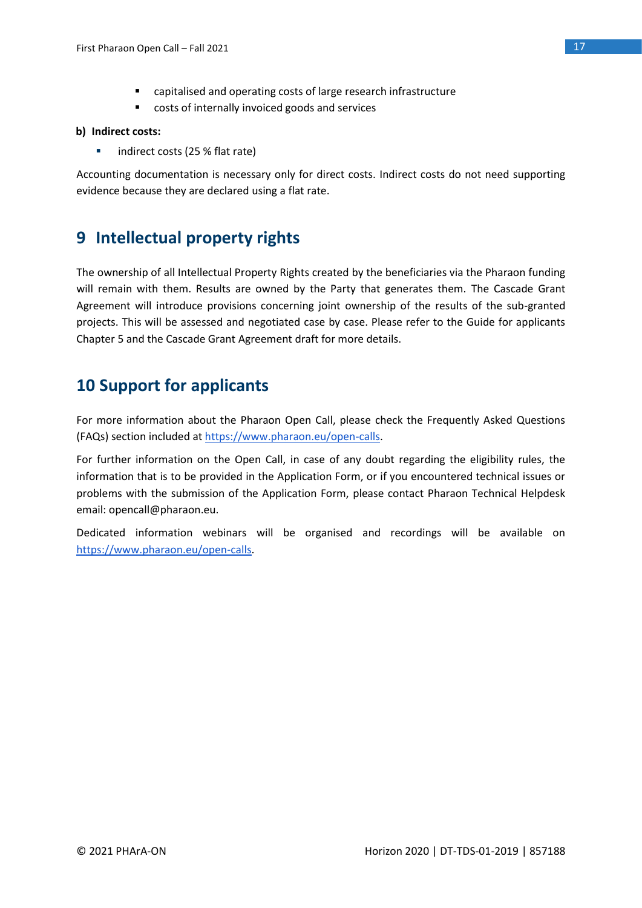- capitalised and operating costs of large research infrastructure
- costs of internally invoiced goods and services

### **b) Indirect costs:**

■ indirect costs (25 % flat rate)

Accounting documentation is necessary only for direct costs. Indirect costs do not need supporting evidence because they are declared using a flat rate.

# <span id="page-16-0"></span>**9 Intellectual property rights**

The ownership of all Intellectual Property Rights created by the beneficiaries via the Pharaon funding will remain with them. Results are owned by the Party that generates them. The Cascade Grant Agreement will introduce provisions concerning joint ownership of the results of the sub-granted projects. This will be assessed and negotiated case by case. Please refer to the Guide for applicants Chapter 5 and the Cascade Grant Agreement draft for more details.

# <span id="page-16-1"></span>**10 Support for applicants**

For more information about the Pharaon Open Call, please check the Frequently Asked Questions (FAQs) section included at [https://www.pharaon.eu/open-calls.](https://www.pharaon.eu/open-calls)

For further information on the Open Call, in case of any doubt regarding the eligibility rules, the information that is to be provided in the Application Form, or if you encountered technical issues or problems with the submission of the Application Form, please contact Pharaon Technical Helpdesk email: opencall@pharaon.eu.

Dedicated information webinars will be organised and recordings will be available on [https://www.pharaon.eu/open-calls.](https://www.pharaon.eu/open-calls)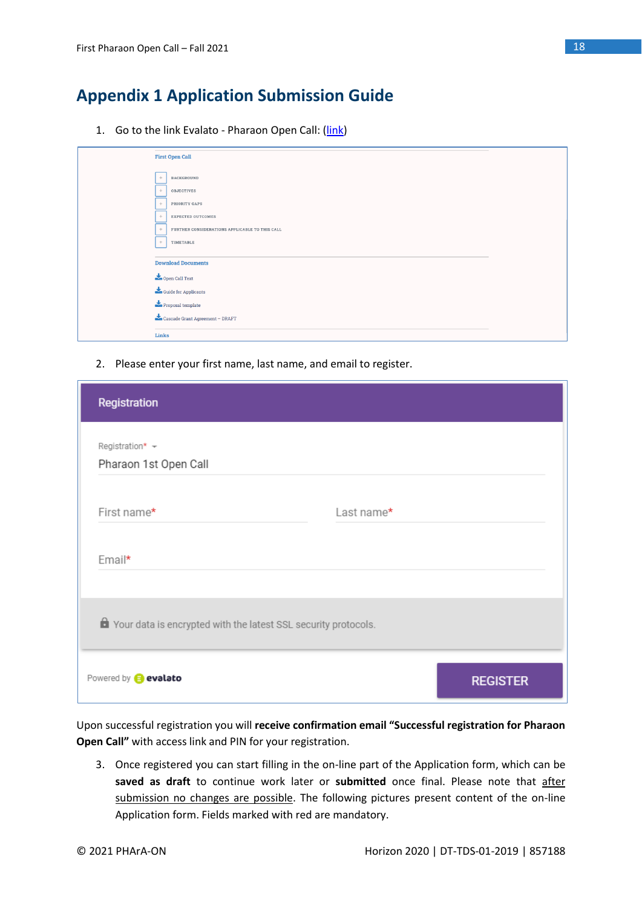# <span id="page-17-0"></span>**Appendix 1 Application Submission Guide**

1. Go to the link Evalato - Pharaon Open Call: [\(link\)](https://pro.evalato.com/3679)

|        | <b>First Open Call</b>                                                                                                                                                                                                                                                                                                                                                                                                                                    |
|--------|-----------------------------------------------------------------------------------------------------------------------------------------------------------------------------------------------------------------------------------------------------------------------------------------------------------------------------------------------------------------------------------------------------------------------------------------------------------|
| ÷      | BACKGROUND                                                                                                                                                                                                                                                                                                                                                                                                                                                |
| ÷      | <b>OBJECTIVES</b>                                                                                                                                                                                                                                                                                                                                                                                                                                         |
| $+$    | PRIORITY GAPS                                                                                                                                                                                                                                                                                                                                                                                                                                             |
| $+$    | <b>EXPECTED OUTCOMES</b>                                                                                                                                                                                                                                                                                                                                                                                                                                  |
| $^{+}$ | FURTHER CONSIDERATIONS APPLICABLE TO THIS CALL                                                                                                                                                                                                                                                                                                                                                                                                            |
| $+$    | TIMETABLE                                                                                                                                                                                                                                                                                                                                                                                                                                                 |
|        | <b>Download Documents</b>                                                                                                                                                                                                                                                                                                                                                                                                                                 |
|        | Open Call Text                                                                                                                                                                                                                                                                                                                                                                                                                                            |
|        | $\begin{tabular}{ c c } \hline \textbf{L} & \textbf{Guide} \end{tabular} \vspace{-.08in} \textbf{C} \textbf{u} \textbf{ide} \textbf{for Applications} \end{tabular}$                                                                                                                                                                                                                                                                                      |
|        | $\blacktriangleright$ Proposal template                                                                                                                                                                                                                                                                                                                                                                                                                   |
|        | $\begin{tabular}{ c c } \hline \textbf{``} \textbf{``} \textbf{``} \textbf{``} \textbf{``} \textbf{``} \textbf{``} \textbf{``} \textbf{``} \textbf{``} \textbf{``} \textbf{``} \textbf{``} \textbf{``} \textbf{``} \textbf{``} \textbf{``} \textbf{``} \textbf{``} \textbf{``} \textbf{``} \textbf{``} \textbf{``} \textbf{``} \textbf{``} \textbf{``} \textbf{``} \textbf{``} \textbf{``} \textbf{``} \textbf{``} \textbf{``} \textbf{``} \textbf{``} \$ |
| Links  |                                                                                                                                                                                                                                                                                                                                                                                                                                                           |

2. Please enter your first name, last name, and email to register.

| Registration                                                            |            |                 |
|-------------------------------------------------------------------------|------------|-----------------|
| Registration* +<br>Pharaon 1st Open Call                                |            |                 |
| First name*                                                             | Last name* |                 |
| Email*                                                                  |            |                 |
| <b>A</b> Your data is encrypted with the latest SSL security protocols. |            |                 |
| Powered by <b>@</b> evalato                                             |            | <b>REGISTER</b> |

Upon successful registration you will **receive confirmation email "Successful registration for Pharaon Open Call"** with access link and PIN for your registration.

3. Once registered you can start filling in the on-line part of the Application form, which can be **saved as draft** to continue work later or **submitted** once final. Please note that after submission no changes are possible. The following pictures present content of the on-line Application form. Fields marked with red are mandatory.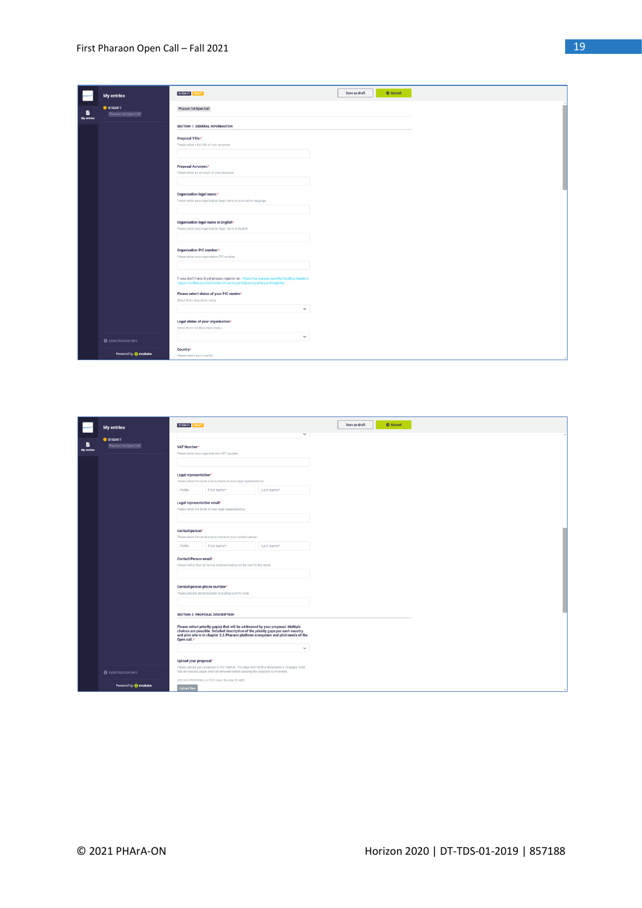|                 | <b>My entries</b>                       | S153411 DRAFT                                                                                                                                                   | <b>O</b> Submit<br>Save as draft |
|-----------------|-----------------------------------------|-----------------------------------------------------------------------------------------------------------------------------------------------------------------|----------------------------------|
| в<br>My entries | <b>S153411</b><br>Pharaon 1st Open Call | Pharaon 1st Open Call                                                                                                                                           |                                  |
|                 |                                         | <b>SECTION 1: GENERAL INFORMATION</b>                                                                                                                           |                                  |
|                 |                                         | Proposal Title:*<br>Please enter a full title of your proposal                                                                                                  |                                  |
|                 |                                         | Proposal Acronym:*<br>Please enter an acronym of your proposal                                                                                                  |                                  |
|                 |                                         | Organisation legal name:*<br>Please enter your organisation legal name in your native language                                                                  |                                  |
|                 |                                         | Organisation legal name in English*<br>Please enter your organisation legal name in English                                                                     |                                  |
|                 |                                         | Organisation PIC number:*<br>Please enter your organisation PIC number.                                                                                         |                                  |
|                 |                                         | If you don't have it yet please register at: https://ec.europa.eu/info/funding-tenders<br>/opportunities/portal/screen/how-to-participate/participant-register. |                                  |
|                 |                                         | Please select status of your PIC numbe*<br>Select from drop down menu<br>$\checkmark$                                                                           |                                  |
|                 |                                         | Legal status of your organisation*<br>Select from the drop down menu.<br>$\checkmark$                                                                           |                                  |
|                 | <b>O</b> REGISTRATION INFO              |                                                                                                                                                                 |                                  |
|                 | Powered by @ evalato                    | Country*<br>Please select your country.                                                                                                                         |                                  |

|                 | <b>My entries</b>                     | Save as draft<br><b>O</b> Submit<br>S153411 DRAFT<br>$\checkmark$                                                                                                                                                                                                         |
|-----------------|---------------------------------------|---------------------------------------------------------------------------------------------------------------------------------------------------------------------------------------------------------------------------------------------------------------------------|
| в<br>My entries | $•$ \$153411<br>Pharaon 1st Open Call | VAT Number*<br>Please enter your organization's VAT number.                                                                                                                                                                                                               |
|                 |                                       | Legal representative*                                                                                                                                                                                                                                                     |
|                 |                                       | Please enter the name and sumame of your legal representative.                                                                                                                                                                                                            |
|                 |                                       | Prefix<br>First name*<br>Last name*                                                                                                                                                                                                                                       |
|                 |                                       | Legal representative email*<br>Please enter the email of your legal representative.                                                                                                                                                                                       |
|                 |                                       | Contact person*                                                                                                                                                                                                                                                           |
|                 |                                       | Please enter the name and sumame of your contact person.                                                                                                                                                                                                                  |
|                 |                                       | Prefix<br>First name*<br>Last name*                                                                                                                                                                                                                                       |
|                 |                                       | <b>Contact Person email</b><br>Please notice that all formal communication will be sent to this email.                                                                                                                                                                    |
|                 |                                       | Contact person phone number*<br>Please provide phone number including country code.                                                                                                                                                                                       |
|                 |                                       | <b>SECTION 2: PROPOSAL DESCRIPTION</b>                                                                                                                                                                                                                                    |
|                 |                                       | Please select priority gap(s) that will be addressed by your proposal. Multiple<br>choices are possible. Detailed description of the priority gaps per each country<br>and pilot site is in chapter 2.2. Pharaon platform ecosystem and pilot needs of the<br>Open call.* |
|                 |                                       | $\checkmark$                                                                                                                                                                                                                                                              |
|                 |                                       | Upload your proposal*<br>Please upload your proposal in PDF format. The page limit for this document is 10 pages. Note                                                                                                                                                    |
|                 | <b>@</b> REGISTRATION INFO            | that any excess pages shall be removed before passing the proposal to reviewers.<br>UPLOAD PROPOSAL in PDF (max. file size 20 MB)                                                                                                                                         |
|                 | Powered by @ evalato                  | <b>Jpload file</b>                                                                                                                                                                                                                                                        |